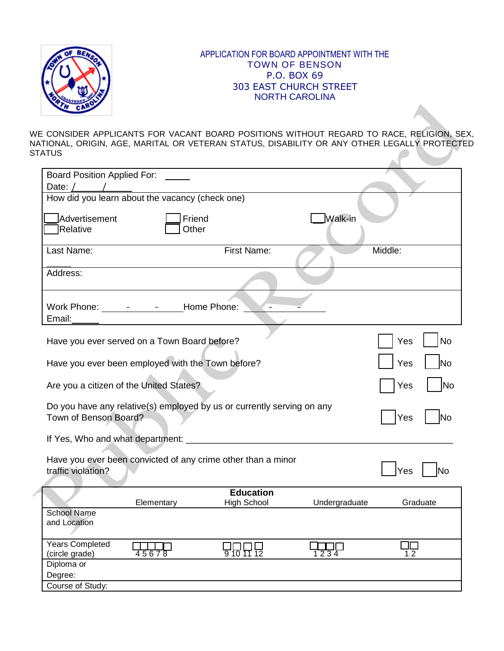

## APPLICATION FOR BOARD APPOINTMENT WITH THE TOWN OF BENSON P.O. BOX 69 303 EAST CHURCH STREET NORTH CAROLINA

WE CONSIDER APPLICANTS FOR VACANT BOARD POSITIONS WITHOUT REGARD TO RACE, RELIGION, SEX, NATIONAL, ORIGIN, AGE, MARITAL OR VETERAN STATUS, DISABILITY OR ANY OTHER LEGALLY PROTECTED **STATUS** 

| <b>Board Position Applied For:</b>                                     |                  |                    |               |             |  |  |  |  |
|------------------------------------------------------------------------|------------------|--------------------|---------------|-------------|--|--|--|--|
| Date: $/$ /                                                            |                  |                    |               |             |  |  |  |  |
| How did you learn about the vacancy (check one)                        |                  |                    |               |             |  |  |  |  |
|                                                                        |                  |                    |               |             |  |  |  |  |
| Advertisement                                                          | Friend           |                    | Walk-in       |             |  |  |  |  |
| Relative                                                               | Other            |                    |               |             |  |  |  |  |
|                                                                        |                  |                    |               |             |  |  |  |  |
| Last Name:                                                             | First Name:      |                    |               |             |  |  |  |  |
|                                                                        |                  |                    |               |             |  |  |  |  |
| Address:                                                               |                  |                    |               |             |  |  |  |  |
|                                                                        |                  |                    |               |             |  |  |  |  |
|                                                                        |                  |                    |               |             |  |  |  |  |
| Work Phone: 1990 - 1991 - Home Phone:                                  |                  |                    |               |             |  |  |  |  |
| Email:                                                                 |                  |                    |               |             |  |  |  |  |
|                                                                        |                  |                    |               |             |  |  |  |  |
|                                                                        |                  |                    |               |             |  |  |  |  |
| Have you ever served on a Town Board before?                           | <b>No</b><br>Yes |                    |               |             |  |  |  |  |
|                                                                        |                  |                    |               |             |  |  |  |  |
| Have you ever been employed with the Town before?                      | Yes<br>lNo       |                    |               |             |  |  |  |  |
|                                                                        |                  |                    |               |             |  |  |  |  |
| Are you a citizen of the United States?                                | No<br>Yes        |                    |               |             |  |  |  |  |
|                                                                        |                  |                    |               |             |  |  |  |  |
| Do you have any relative(s) employed by us or currently serving on any |                  |                    |               |             |  |  |  |  |
| Town of Benson Board?<br>Yes                                           |                  |                    |               |             |  |  |  |  |
| lNo                                                                    |                  |                    |               |             |  |  |  |  |
|                                                                        |                  |                    |               |             |  |  |  |  |
|                                                                        |                  |                    |               |             |  |  |  |  |
| Have you ever been convicted of any crime other than a minor           |                  |                    |               |             |  |  |  |  |
| traffic violation?                                                     | Yes<br>Nο        |                    |               |             |  |  |  |  |
|                                                                        |                  |                    |               |             |  |  |  |  |
|                                                                        |                  | <b>Education</b>   |               |             |  |  |  |  |
|                                                                        | Elementary       | <b>High School</b> | Undergraduate | Graduate    |  |  |  |  |
| <b>School Name</b>                                                     |                  |                    |               |             |  |  |  |  |
| and Location                                                           |                  |                    |               |             |  |  |  |  |
|                                                                        |                  |                    |               |             |  |  |  |  |
|                                                                        |                  |                    |               |             |  |  |  |  |
| <b>Years Completed</b><br>(circle grade)                               | 45678            | UUUU<br>9 10 11 12 | 1234          | a Tan<br>12 |  |  |  |  |
| Diploma or                                                             |                  |                    |               |             |  |  |  |  |
|                                                                        |                  |                    |               |             |  |  |  |  |
| Degree:                                                                |                  |                    |               |             |  |  |  |  |
| Course of Study:                                                       |                  |                    |               |             |  |  |  |  |